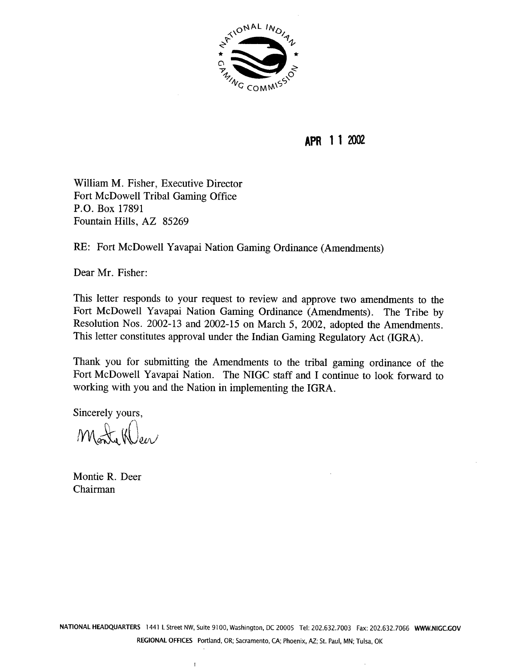

**APR 1 1 2002** 

William M. Fisher, Executive Director Fort McDowell Tribal Gaming Office P.O. Box 17891 Fountain Hills, AZ 85269

RE: Fort McDowell Yavapai Nation Gaming Ordinance (Amendments)

Dear Mr. Fisher:

This letter responds to your request to review and approve two amendments to the Fort McDowell Yavapai Nation Gaming Ordinance (Amendments). The Tribe by Resolution Nos. 2002- 13 and 2002-15 on March 5, 2002, adopted the Amendments. This letter constitutes approval under the Indian Gaming Regulatory Act (IGRA).

Thank you for submitting the Amendments to the tribal gaming ordinance of the Fort McDowell Yavapai Nation. The NIGC staff and I continue to look forward to working with you and the Nation in implementing the IGRA.

Sincerely yours,

Monty Weer

Montie R. Deer Chairman

 $\mathbf{I}$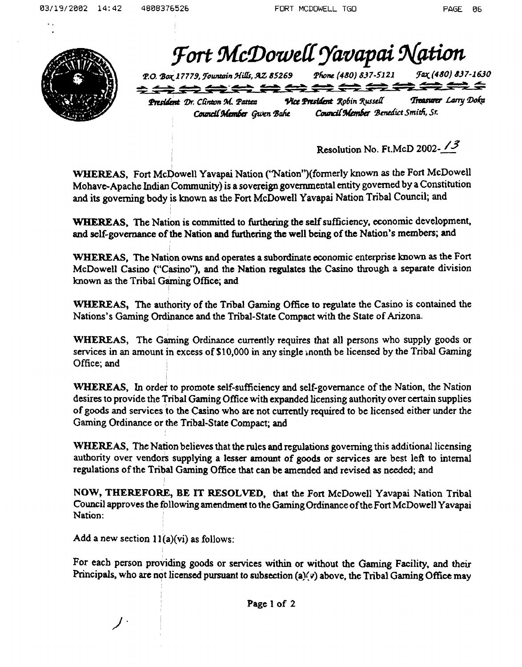Fort McDowell Yavapai Nation Jax (480) 837-1630 P.O. Box 17779, Fountain Hills, AZ 85269 Phone (480) 837-5121 Treasurer Larry Doka Vice President Robin Russell President Dr. Clinton M. Pattea

Council Member Gwen Bahe

Council Member Benedict Smith, Sr.

*/3* Resolution No. Ft.McD **2002--** 

**WHEREAS,** Fort McDowell Yavapai Nation ("Nation")(formerly known as the Fort McDowell Mohave-Apache Indian **Community)** is a sovereign govcmmental entity governed by a Constitution and its **governing** body is known **as** the Fort McDowell Yavapai Nation Tribal Council; and

**WHEREAS,** The Nation is committed to **mering** the self suficiency, economic development, and self-governance of **the** Nation and **Mering the** well **being** of the Nation's **members;** and

**WHEREAS,** The Nation owns and operates a subordinate economic enterprise known as the Fort McDowell **Casino ("Casino"),** and the Nation regulates the Casino through a separate division known as the Tribal Gaming Office; and

**WHEREAS,** The authority of the Tribal **Gaming Office** to regulate the Casino is contained the Nations's Gaming Ordinance and the Tribal-State Compact with **the State** of **Arizona.** 

**WHEREAS, The Gaming Ordinance currently requires that all persons who supply goods or** services in an amount in excess of \$10,000 in any single month be licensed by the Tribal Gaming Office; and ,

**WHEREAS,** In order to promote self-sufficiency and self-governance of the Nation, the Nation **desires** to provide **the** Tribal Gaming Office **with** expanded licensing authority over certain supplies of **goods** and **services** to **the** Casino who **are** not cvnently required to be licensed either under the **Gaming** Ordinance or **the Tribal-State** Compact; **and** 

**WHEREAS, The** Nation believes that the rules and regulations governing this additional licensing authority over vendors supplying a lesser amount of **goods** or services are best left to internal regulations of the **Tribal Gaming** Office that can **be** amended and **revised as needed; and** 

**NOW, THEREFORE,** BE IT **RESOLVED,** that the Fort McDowell Yavapai Nation Tribal Council approves the following **amendment** to the Gaming Ordinance of the Fort McDowell Yavapai Nation:

Add a new section  $11(a)(vi)$  as follows:

For **eacb** person providing goods or services **within** or without the **Gaming** Facility. and their Principals, who are not licensed pursuant to subsection (a)(v) above, the Tribal Gaming Office may

**Page 1 of 2**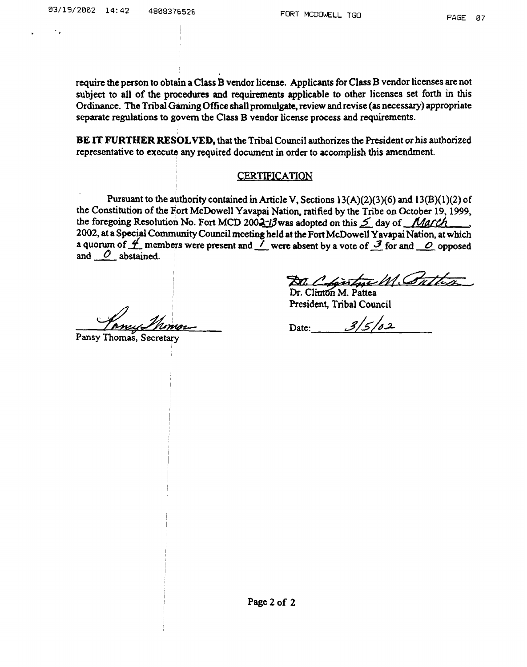require the person to obtain a **Class** B vendor license. Applicants br Class B vendor licenses are not subject to all of the procedures and requirements applicable to other licenses set forth in this Ordinance. The Tribal Gaming Office shall promulgate, review and revise (as necessary) appropriate separate regulations to **govern** the **Class** B vendor license process and requirements.

**BE** IT **FURTHER RESOLVED,** that the Tribal Council authorizes the President or his authorized representative to execute any required document in order to accomplish this **amendment.** 

## CERTIFICATION

Pursuant to the authority contained in Article V, Sections  $13(A)(2)(3)(6)$  and  $13(B)(1)(2)$  of the Constitution of the Fort McDowell Yavapai Nation, ratified by the Tribe on October 19, 1999,<br>the foregoing Resolution No. Fort MCD 2002-13 was adopted on this 5 day of *March*<br>2002, at a Special Community Council meeti the foregoing Resolution No. Fort MCD 2002-13 was adopted on this 5 day of *March*<br>2002, at a Special Community Council meeting held at the Fort McDowell Yavapai Nation, at which<br>a quorum of 4 members were present and 1 we and O abstained.

Dr. Clintdn M. **Pattea** 

President, Tribal Council

Date: 3/5/02

**Pansy** 'I'horn; **Secretary** 

**/A%z4i/lZ/7sw2-7**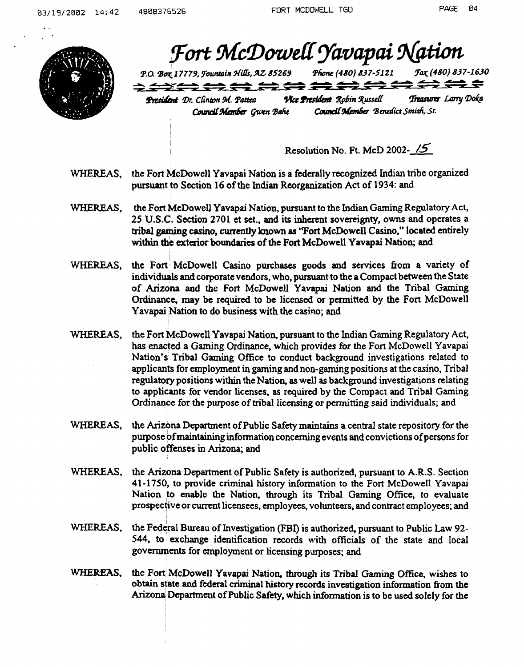

Fort McDowell Yavapai Nation

Fax (480) 837-1630 P.O. Box 17779, Jountain Hills, AZ 85269 Phone (480) 837-5121 <del>∢⇔≥≈≈≈≈≈≈≈≈≈≈≈≈</del>

President Dr. Clinton M. Pattea Council Member Gwen Bahe

Vice President Robin Russell

Treasurer Larry Doka Council Member Benedict Smith, Sr.

Resolution No. Ft. McD 2002- **15** 

- WHEREAS, the Fort McDowell Yavapai Nation is a federally recognized Indian tribe organized pursuant to Section 16 of the Indian Reorganization Act of 1934: and
- **WHEREAS,** the Fort McDowell Yavapai Nation, pursuant to the **Indian** Gaming Regulatory Act, 25 U.S.C. Section 270 1 et set., and its inherent sovereignty, owns **and** operates a **tribal gaming casino, cummtly known** as "Fort McDowell Casino," located entirely within the exterior boundaries of the Fort McDowell Yavapai Nation; and
- **WHEREAS,** the Fort McDowell Casino purchases goods and services fiom a variety of individuals and corporate vendors, who, pursuant to the a Compact between the State of **Arizona** and the Fort McDowell Yavapai Nation and the Tribal **Gaming Ordinance,** may be required to be licensed or permitted by the Fort McDowell Yavapai Nation to do business with the casino; and
- WHEREAS, the Fort McDowell Yavapai Nation, pursuant to the Indian Gaming Regulatory Act, has enacted a **Gaming** Ordinance, which provides **fbr** the Fort McDowell Yavapai Nation's Tribal Gaming Office to conduct background investigations related to applicants for employment in gaming and non-gaming positions at the casino, Tribal regulatory positions **within** the Nation, as well **as** background investigabons relating to applicants for vendor licenses, as required by the Compact and Tribal Gaming **Ordinance** for the purpose of tribal licensing or permitting said individuals; and
- WHEREAS, the Arizona Department of Public Safety maintains a central state repository for the purpose of maintaining information concerning events and convictions of persons for public offenses in Arizona; and
- WHEREAS, the Arizona Department of Public Safety is authorized, pursuant to A.R.S. Section 41-1750, to provide criminal history information to the Fort McDowell Yavapai Nation to enable the Nation, through its Tribal Gaming Office, to evaluate prospective or current licensees, employees, volunteers. and contract employees; and
- WHEREAS, the Federal Bureau of Investigation (FBI) is authorized, pursuant to Public Law 92-544, to exchange identification records with officials of the state and local governments for employment or licensing purposes; and
- WHEREAS, the Fort McDowell Yavapai Nation, through its Tribal Gaming Office, wishes to obtain **state and** federal criminal **history** records investigation information from the Arizona Department of Public Safety, which information is to be used solely for the